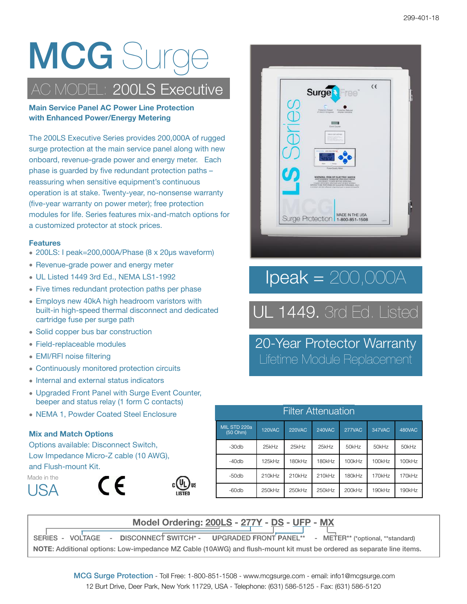# **MCG** Surg

### C MODEL: 200LS Executive

**Main Service Panel AC Power Line Protection with Enhanced Power/Energy Metering**

The 200LS Executive Series provides 200,000A of rugged surge protection at the main service panel along with new onboard, revenue-grade power and energy meter. Each phase is guarded by five redundant protection paths – reassuring when sensitive equipment's continuous operation is at stake. Twenty-year, no-nonsense warranty (five-year warranty on power meter); free protection modules for life. Series features mix-and-match options for a customized protector at stock prices.

#### **Features**

- 200LS: I peak=200,000A/Phase (8 x 20μs waveform)
- Revenue-grade power and energy meter
- UL Listed 1449 3rd Ed., NEMA LS1-1992
- Five times redundant protection paths per phase
- Employs new 40kA high headroom varistors with built-in high-speed thermal disconnect and dedicated cartridge fuse per surge path
- Solid copper bus bar construction
- Field-replaceable modules
- EMI/RFI noise filtering
- Continuously monitored protection circuits
- Internal and external status indicators
- Upgraded Front Panel with Surge Event Counter, beeper and status relay (1 form C contacts)
- NEMA 1, Powder Coated Steel Enclosure

#### **Mix and Match Options**

Options available: Disconnect Switch, Low Impedance Micro-Z cable (10 AWG), and Flush-mount Kit.







## $\textsf{lpeak} = 200,000 \textup{A}$

## UL 1449. 3rd Ed. Listed

20-Year Protector Warranty Lifetime Module Replacement

| <b>Filter Attenuation</b> |               |                                                    |        |        |        |        |  |  |
|---------------------------|---------------|----------------------------------------------------|--------|--------|--------|--------|--|--|
| MIL STD 220a<br>(50 Ohm)  | <b>120VAC</b> | 277VAC<br>347VAC<br><b>220VAC</b><br><b>240VAC</b> |        |        |        |        |  |  |
| $-30db$                   | 25kHz         | 25kHz                                              | 25kHz  | 50kHz  | 50kHz  | 50kHz  |  |  |
| $-40db$                   | 125kHz        | 180kHz                                             | 180kHz | 100kHz | 100kHz | 100kHz |  |  |
| -50db                     | 210kHz        | 210kHz                                             | 210kHz | 180kHz | 170kHz | 170kHz |  |  |
| $-60db$                   | 250kHz        | 250kHz                                             | 250kHz | 200kHz | 190kHz | 190kHz |  |  |

**Model Ordering: 200LS - 277Y - DS - UFP - MX**

SERIES - VOLTAGE - **D**ISCONNECT **S**WITCH\* - **U**PGRADED **F**RONT **P**ANEL\*\* - METER\*\* (\*optional, \*\*standard) **NOTE**: Additional options: Low-impedance MZ Cable (10AWG) and flush-mount kit must be ordered as separate line items.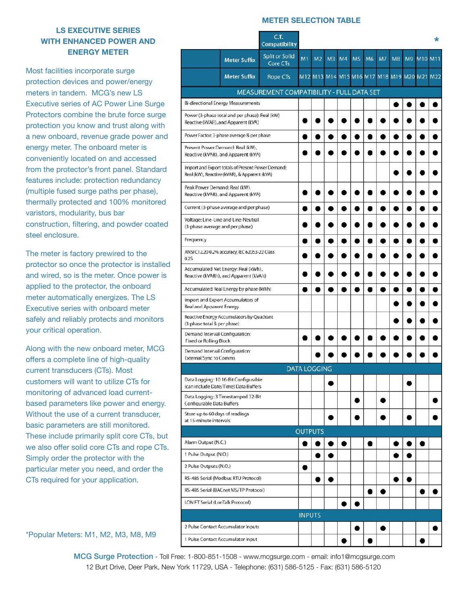#### **METER SELECTION TABLE**

#### **LS EXECUTIVE SERIES WITH ENHANCED POWER AND ENERGY METER**

Most facilities incorporate surge protection devices and power/energy meters in tandem. MCG's new LS Executive series of AC Power Line Surge Protectors combine the brute force surge protection you know and trust along with a new onboard, revenue grade power and energy meter. The onboard meter is conveniently located on and accessed from the protector's front panel. Standard features include: protection redundancy (multiple fused surge paths per phase), thermally protected and 100% monitored varistors, modularity, bus bar construction, filtering, and powder coated steel enclosure.

The meter is factory prewired to the protector so once the protector is installed and wired, so is the meter. Once power is applied to the protector, the onboard meter automatically energizes. The LS Executive series with onboard meter safely and reliably protects and monitors your critical operation.

Along with the new onboard meter, MCG offers a complete line of high-quality current transducers (CTs). Most customers will want to utilize CTs for monitoring of advanced load currentbased parameters like power and energy. Without the use of a current transducer, basic parameters are still monitored. These include primarily split core CTs, but we also offer solid core CTs and rope CTs. Simply order the protector with the particular meter you need, and order the CTs required for your application.

\*Popular Meters: M1, M2, M3, M8, M9

|                                                                 |                                                                                                   | C.T.<br><b>Compatibility</b>              |                |                     |    |                |           |                |                |           |    |                                             | * |
|-----------------------------------------------------------------|---------------------------------------------------------------------------------------------------|-------------------------------------------|----------------|---------------------|----|----------------|-----------|----------------|----------------|-----------|----|---------------------------------------------|---|
|                                                                 | <b>Meter Suffix</b>                                                                               | Split or Solid<br>Core CTs                | M <sub>1</sub> | M <sub>2</sub>      | M3 | M <sub>4</sub> | <b>M5</b> | M <sub>6</sub> | M <sub>7</sub> | <b>M8</b> | M9 | M10 M11                                     |   |
|                                                                 | <b>Meter Suffix</b>                                                                               | Rope CTs                                  |                |                     |    |                |           |                |                |           |    | M12 M13 M14 M15 M16 M17 M18 M19 M20 M21 M22 |   |
|                                                                 |                                                                                                   | MEASUREMENT COMPATIBILITY - FULL DATA SET |                |                     |    |                |           |                |                |           |    |                                             |   |
| Bi-directional Energy Measurements                              |                                                                                                   |                                           |                |                     |    |                |           |                |                |           |    |                                             |   |
|                                                                 | Power (3-phase total and per phase): Real (kW)<br>Reactive (kVAR), and Apparent (kVA)             |                                           |                |                     |    |                |           |                |                |           |    |                                             |   |
|                                                                 | Power Factor: 3-phase average & per phase                                                         |                                           |                |                     |    |                |           |                |                |           |    |                                             |   |
|                                                                 | Present Power Demand: Real (kW),<br>Reactive (kVAR), and Apparent (kVA)                           |                                           |                |                     |    |                |           |                |                |           |    |                                             |   |
|                                                                 | Import and Export totals of Present Power Demand:<br>Real (kW), Reactive (kVAR), & Apparent (kVA) |                                           |                |                     |    |                |           |                |                |           |    |                                             |   |
| Peak Power Demand: Real (kW),                                   | Reactive (kVAR), and Apparent (kVA)                                                               |                                           |                |                     |    |                |           |                |                |           |    |                                             |   |
|                                                                 | Current (3-phase average and per phase)                                                           |                                           | 8              |                     |    |                |           |                |                |           |    |                                             |   |
| (3-phase average and per phase)                                 | Voltage: Line-Line and Line-Neutral                                                               |                                           |                |                     |    |                |           |                |                |           |    |                                             |   |
| Frequency                                                       |                                                                                                   |                                           |                |                     |    |                |           |                |                |           |    |                                             |   |
| 0.25                                                            | ANSI C12.200.2% accuracy, IEC 62053-22 Class                                                      |                                           |                |                     |    |                |           |                |                |           |    |                                             |   |
|                                                                 | Accumulated Net Energy: Real (kWh),<br>Reactive (kVARh), and Apparent (kVAh)                      |                                           |                |                     |    |                |           |                |                |           |    |                                             |   |
|                                                                 | Accumulated Real Energy by phase (kWh)                                                            |                                           |                |                     |    |                |           |                |                |           |    |                                             |   |
| Real and Apparent Energy                                        | Import and Export Accumulators of                                                                 |                                           |                |                     |    |                |           |                |                |           |    |                                             |   |
| (3-phase total & per phase)                                     | Reactive Energy Accumulators by Quadrant                                                          |                                           |                |                     |    |                |           |                |                |           |    |                                             |   |
| Demand Interval Configuration:<br>Fixed or Rolling Block        |                                                                                                   |                                           |                |                     |    |                |           |                |                |           |    |                                             |   |
| Demand Interval Configuration:<br><b>External Sync to Comms</b> |                                                                                                   |                                           |                |                     |    |                |           |                |                |           |    |                                             |   |
|                                                                 |                                                                                                   |                                           |                | <b>DATA LOGGING</b> |    |                |           |                |                |           |    |                                             |   |
|                                                                 | Data Logging: 10 16-Bit Configurable<br>(can include Date/Time) Data Buffers                      |                                           |                |                     |    |                |           |                |                |           |    |                                             |   |
| Configurable Data Buffers                                       | Data Logging: 3 Timestamped 32-Bit                                                                |                                           |                |                     |    |                |           |                |                |           |    |                                             |   |
| Store up to 60 days of readings<br>at 15-minute intervals       |                                                                                                   |                                           |                |                     |    |                |           |                |                |           |    |                                             |   |
|                                                                 |                                                                                                   |                                           |                | <b>OUTPUTS</b>      |    |                |           |                |                |           |    |                                             |   |
| Alarm Output (N.C.)                                             |                                                                                                   |                                           |                |                     |    |                |           |                |                |           |    |                                             |   |
| 1 Pulse Output (N.O.)                                           |                                                                                                   |                                           |                |                     |    |                |           |                |                |           |    |                                             |   |
| 2 Pulse Outputs (N.O.)                                          |                                                                                                   |                                           |                |                     |    |                |           |                |                |           |    |                                             |   |
|                                                                 | RS-485 Serial (Modbus RTU Protocol)                                                               |                                           |                |                     |    |                |           |                |                | 8         |    |                                             |   |
|                                                                 | RS-485 Serial (BACnet MS/TP Protocol)                                                             |                                           |                |                     |    |                |           |                |                |           |    |                                             |   |
| LON FT Serial (LonTalk Protocol)                                |                                                                                                   |                                           |                |                     |    |                |           |                |                |           |    |                                             |   |
|                                                                 |                                                                                                   |                                           | <b>INPUTS</b>  |                     |    |                |           |                |                |           |    |                                             |   |
|                                                                 | 2 Pulse Contact Accumulator Inputs                                                                |                                           |                |                     |    |                |           |                |                |           |    |                                             |   |
|                                                                 | 1 Pulse Contact Accumulator Input                                                                 |                                           |                |                     |    |                |           |                |                |           |    |                                             |   |

 MCG Surge Protection - Toll Free: 1-800-851-1508 - [www.mcgsurge.com](http://www.mcgsurge.com) - email: [info1@mcgsurge.com](mailto:info1@mcgsurge.com) 12 Burt Drive, Deer Park, New York 11729, USA - Telephone: (631) 586-5125 - Fax: (631) 586-5120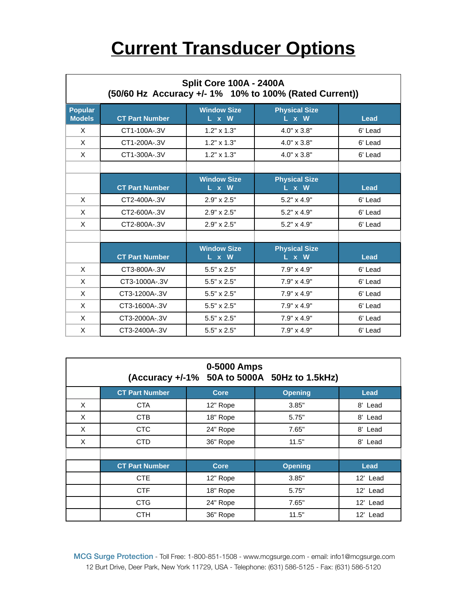## **Current Transducer Options**

| <b>Split Core 100A - 2400A</b><br>(50/60 Hz Accuracy +/- 1% 10% to 100% (Rated Current)) |                       |                             |                               |             |  |  |  |
|------------------------------------------------------------------------------------------|-----------------------|-----------------------------|-------------------------------|-------------|--|--|--|
| <b>Popular</b><br><b>Models</b>                                                          | <b>CT Part Number</b> | <b>Window Size</b><br>L x W | <b>Physical Size</b><br>L x W | Lead        |  |  |  |
| X                                                                                        | CT1-100A-.3V          | $1.2" \times 1.3"$          | $4.0" \times 3.8"$            | 6' Lead     |  |  |  |
| X                                                                                        | CT1-200A-.3V          | $1.2" \times 1.3"$          | 4.0" x 3.8"                   | 6' Lead     |  |  |  |
| X                                                                                        | CT1-300A-.3V          | $1.2" \times 1.3"$          | $4.0" \times 3.8"$            | 6' Lead     |  |  |  |
|                                                                                          |                       |                             |                               |             |  |  |  |
|                                                                                          | <b>CT Part Number</b> | <b>Window Size</b><br>L x W | <b>Physical Size</b><br>L x W | Lead        |  |  |  |
| X                                                                                        | CT2-400A-.3V          | $2.9" \times 2.5"$          | $5.2" \times 4.9"$            | 6' Lead     |  |  |  |
| X                                                                                        | CT2-600A-.3V          | 2.9" x 2.5"                 | $5.2" \times 4.9"$            | 6' Lead     |  |  |  |
| X                                                                                        | CT2-800A-.3V          | 2.9" x 2.5"                 | $5.2" \times 4.9"$            | 6' Lead     |  |  |  |
|                                                                                          |                       |                             |                               |             |  |  |  |
|                                                                                          | <b>CT Part Number</b> | <b>Window Size</b><br>L x W | <b>Physical Size</b><br>L x W | <b>Lead</b> |  |  |  |
| X                                                                                        | CT3-800A-.3V          | 5.5" x 2.5"                 | $7.9" \times 4.9"$            | 6' Lead     |  |  |  |
| X                                                                                        | CT3-1000A-.3V         | $5.5" \times 2.5"$          | $7.9" \times 4.9"$            | 6' Lead     |  |  |  |
| X                                                                                        | CT3-1200A-.3V         | $5.5" \times 2.5"$          | $7.9" \times 4.9"$            | 6' Lead     |  |  |  |
| X                                                                                        | CT3-1600A-.3V         | $5.5" \times 2.5"$          | 7.9" x 4.9"                   | 6' Lead     |  |  |  |
| X                                                                                        | CT3-2000A-.3V         | 5.5" x 2.5"                 | 7.9" x 4.9"                   | 6' Lead     |  |  |  |
| X                                                                                        | CT3-2400A-.3V         | 5.5" x 2.5"                 | 7.9" x 4.9"                   | 6' Lead     |  |  |  |

|   |                       | 0-5000 Amps | (Accuracy +/-1% 50A to 5000A 50Hz to 1.5kHz) |          |
|---|-----------------------|-------------|----------------------------------------------|----------|
|   | <b>CT Part Number</b> | <b>Core</b> | <b>Opening</b>                               | Lead     |
| X | <b>CTA</b>            | 12" Rope    | 3.85"                                        | 8' Lead  |
| X | CTB                   | 18" Rope    | 5.75"                                        | 8' Lead  |
| X | <b>CTC</b>            | 24" Rope    | 7.65"                                        | 8' Lead  |
| X | <b>CTD</b>            | 36" Rope    | 11.5"                                        | 8' Lead  |
|   |                       |             |                                              |          |
|   | <b>CT Part Number</b> | <b>Core</b> | <b>Opening</b>                               | Lead     |
|   | <b>CTE</b>            | 12" Rope    | 3.85"                                        | 12' Lead |
|   | <b>CTF</b>            | 18" Rope    | 5.75"                                        | 12' Lead |
|   | <b>CTG</b>            | 24" Rope    | 7.65"                                        | 12' Lead |
|   | CTH                   | 36" Rope    | 11.5"                                        | 12' Lead |

 MCG Surge Protection - Toll Free: 1-800-851-1508 - [www.mcgsurge.com](http://www.mcgsurge.com) - email: [info1@mcgsurge.com](mailto:info1@mcgsurge.com) 12 Burt Drive, Deer Park, New York 11729, USA - Telephone: (631) 586-5125 - Fax: (631) 586-5120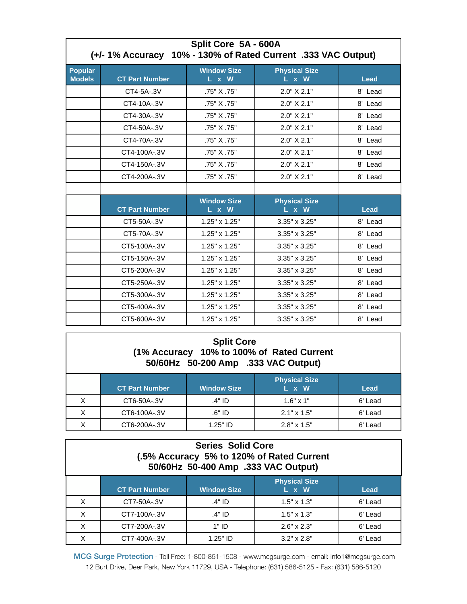| Split Core 5A - 600A<br>(+/- 1% Accuracy 10% - 130% of Rated Current .333 VAC Output) |                       |                             |                               |             |  |  |  |
|---------------------------------------------------------------------------------------|-----------------------|-----------------------------|-------------------------------|-------------|--|--|--|
| <b>Popular</b><br><b>Models</b>                                                       | <b>CT Part Number</b> | <b>Window Size</b><br>L x W | <b>Physical Size</b><br>L x W | Lead        |  |  |  |
|                                                                                       | CT4-5A-.3V            | .75" X .75"                 | 2.0" X 2.1"                   | 8' Lead     |  |  |  |
|                                                                                       | CT4-10A-.3V           | .75" X .75"                 | 2.0" X 2.1"                   | 8' Lead     |  |  |  |
|                                                                                       | CT4-30A-.3V           | .75" X .75"                 | 2.0" X 2.1"                   | 8' Lead     |  |  |  |
|                                                                                       | CT4-50A-.3V           | .75" X .75"                 | 2.0" X 2.1"                   | 8' Lead     |  |  |  |
|                                                                                       | CT4-70A-.3V           | .75" X .75"                 | 2.0" X 2.1"                   | 8' Lead     |  |  |  |
|                                                                                       | CT4-100A-.3V          | .75" X .75"                 | 2.0" X 2.1"                   | 8' Lead     |  |  |  |
|                                                                                       | CT4-150A-.3V          | .75" X .75"                 | 2.0" X 2.1"                   | 8' Lead     |  |  |  |
|                                                                                       | CT4-200A-.3V          | .75" X .75"                 | 2.0" X 2.1"                   | 8' Lead     |  |  |  |
|                                                                                       |                       |                             |                               |             |  |  |  |
|                                                                                       | <b>CT Part Number</b> | <b>Window Size</b><br>L x W | <b>Physical Size</b><br>L x W | <b>Lead</b> |  |  |  |
|                                                                                       | CT5-50A-.3V           | 1.25" x 1.25"               | 3.35" x 3.25"                 | 8' Lead     |  |  |  |
|                                                                                       | CT5-70A-.3V           | $1.25" \times 1.25"$        | $3.35" \times 3.25"$          | 8' Lead     |  |  |  |
|                                                                                       | CT5-100A-.3V          | 1.25" x 1.25"               | 3.35" x 3.25"                 | 8' Lead     |  |  |  |
|                                                                                       | CT5-150A-.3V          | 1.25" x 1.25"               | 3.35" x 3.25"                 | 8' Lead     |  |  |  |
|                                                                                       | CT5-200A-.3V          | $1.25" \times 1.25"$        | $3.35" \times 3.25"$          | 8' Lead     |  |  |  |
|                                                                                       | CT5-250A-.3V          | $1.25" \times 1.25"$        | 3.35" x 3.25"                 | 8' Lead     |  |  |  |
|                                                                                       | CT5-300A-.3V          | $1.25" \times 1.25"$        | $3.35" \times 3.25"$          | 8' Lead     |  |  |  |
|                                                                                       | CT5-400A-.3V          | 1.25" x 1.25"               | 3.35" x 3.25"                 | 8' Lead     |  |  |  |
|                                                                                       | CT5-600A-.3V          | $1.25" \times 1.25"$        | 3.35" x 3.25"                 | 8' Lead     |  |  |  |

#### **Split Core (1% Accuracy 10% to 100% of Rated Current 50/60Hz 50-200 Amp .333 VAC Output)**

| <b>CT Part Number</b> | <b>Window Size</b> | Physical Size<br>L x W | Lead    |
|-----------------------|--------------------|------------------------|---------|
| CT6-50A-.3V           | .4" ID             | $1.6" \times 1"$       | 6' Lead |
| CT6-100A-.3V          | .6" ID             | $2.1" \times 1.5"$     | 6' Lead |
| CT6-200A-.3V          | $1.25"$ ID         | $2.8" \times 1.5"$     | 6' Lead |

#### **Series Solid Core (.5% Accuracy 5% to 120% of Rated Current 50/60Hz 50-400 Amp .333 VAC Output)**

|    | <b>CT Part Number</b> | <b>Window Size</b> | <b>Physical Size</b><br>L x W | Lead    |
|----|-----------------------|--------------------|-------------------------------|---------|
|    | CT7-50A-.3V           | .4" ID             | $1.5" \times 1.3"$            | 6' Lead |
| X. | CT7-100A-.3V          | .4" ID             | $1.5" \times 1.3"$            | 6' Lead |
| X  | CT7-200A-.3V          | 1" ID              | $2.6" \times 2.3"$            | 6' Lead |
|    | CT7-400A-.3V          | $1.25"$ ID         | $3.2" \times 2.8"$            | 6' Lead |

 MCG Surge Protection - Toll Free: 1-800-851-1508 - [www.mcgsurge.com](http://www.mcgsurge.com) - email: [info1@mcgsurge.com](mailto:info1@mcgsurge.com) 12 Burt Drive, Deer Park, New York 11729, USA - Telephone: (631) 586-5125 - Fax: (631) 586-5120